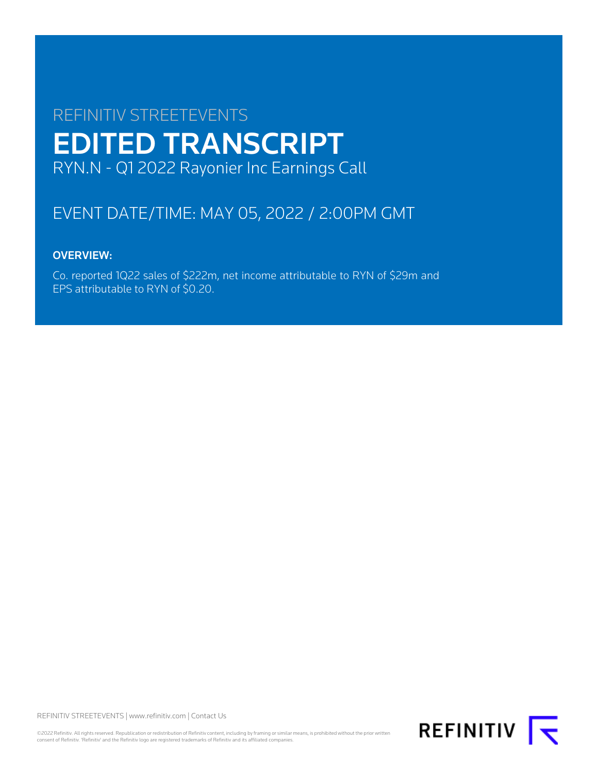# REFINITIV STREETEVENTS EDITED TRANSCRIPT RYN.N - Q1 2022 Rayonier Inc Earnings Call

# EVENT DATE/TIME: MAY 05, 2022 / 2:00PM GMT

# OVERVIEW:

Co. reported 1Q22 sales of \$222m, net income attributable to RYN of \$29m and EPS attributable to RYN of \$0.20.

REFINITIV STREETEVENTS | [www.refinitiv.com](https://www.refinitiv.com/) | [Contact Us](https://www.refinitiv.com/en/contact-us)

©2022 Refinitiv. All rights reserved. Republication or redistribution of Refinitiv content, including by framing or similar means, is prohibited without the prior written consent of Refinitiv. 'Refinitiv' and the Refinitiv logo are registered trademarks of Refinitiv and its affiliated companies.

REFINITIV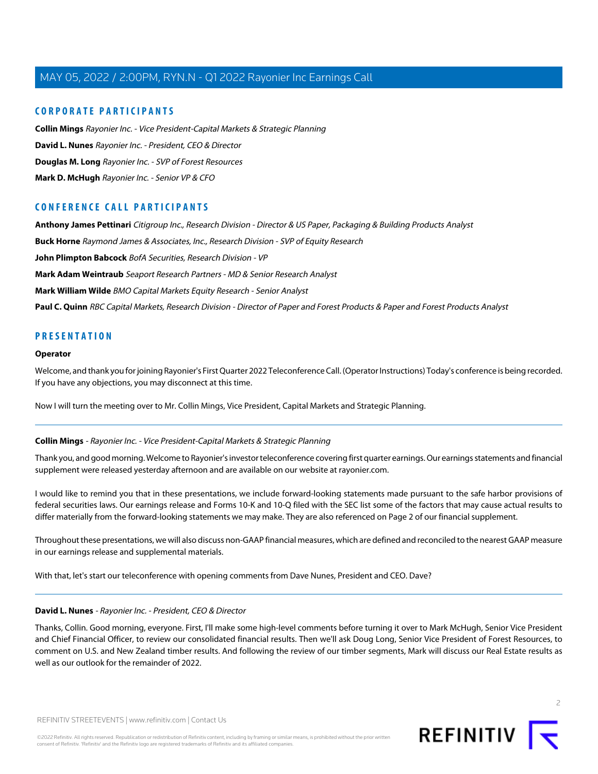### **CORPORATE PARTICIPANTS**

**[Collin Mings](#page-1-0)** Rayonier Inc. - Vice President-Capital Markets & Strategic Planning **[David L. Nunes](#page-1-1)** Rayonier Inc. - President, CEO & Director **[Douglas M. Long](#page-3-0)** Rayonier Inc. - SVP of Forest Resources **[Mark D. McHugh](#page-2-0)** Rayonier Inc. - Senior VP & CFO

### **CONFERENCE CALL PARTICIPANTS**

**[Anthony James Pettinari](#page-6-0)** Citigroup Inc., Research Division - Director & US Paper, Packaging & Building Products Analyst **[Buck Horne](#page-12-0)** Raymond James & Associates, Inc., Research Division - SVP of Equity Research **[John Plimpton Babcock](#page-14-0)** BofA Securities, Research Division - VP **[Mark Adam Weintraub](#page-9-0)** Seaport Research Partners - MD & Senior Research Analyst **[Mark William Wilde](#page-7-0)** BMO Capital Markets Equity Research - Senior Analyst [Paul C. Quinn](#page-13-0) RBC Capital Markets, Research Division - Director of Paper and Forest Products & Paper and Forest Products Analyst

### **PRESENTATION**

### **Operator**

Welcome, and thank you for joining Rayonier's First Quarter 2022 Teleconference Call. (Operator Instructions) Today's conference is being recorded. If you have any objections, you may disconnect at this time.

<span id="page-1-0"></span>Now I will turn the meeting over to Mr. Collin Mings, Vice President, Capital Markets and Strategic Planning.

### **Collin Mings** - Rayonier Inc. - Vice President-Capital Markets & Strategic Planning

Thank you, and good morning. Welcome to Rayonier's investor teleconference covering first quarter earnings. Our earnings statements and financial supplement were released yesterday afternoon and are available on our website at rayonier.com.

I would like to remind you that in these presentations, we include forward-looking statements made pursuant to the safe harbor provisions of federal securities laws. Our earnings release and Forms 10-K and 10-Q filed with the SEC list some of the factors that may cause actual results to differ materially from the forward-looking statements we may make. They are also referenced on Page 2 of our financial supplement.

<span id="page-1-1"></span>Throughout these presentations, we will also discuss non-GAAP financial measures, which are defined and reconciled to the nearest GAAP measure in our earnings release and supplemental materials.

With that, let's start our teleconference with opening comments from Dave Nunes, President and CEO. Dave?

#### **David L. Nunes** - Rayonier Inc. - President, CEO & Director

Thanks, Collin. Good morning, everyone. First, I'll make some high-level comments before turning it over to Mark McHugh, Senior Vice President and Chief Financial Officer, to review our consolidated financial results. Then we'll ask Doug Long, Senior Vice President of Forest Resources, to comment on U.S. and New Zealand timber results. And following the review of our timber segments, Mark will discuss our Real Estate results as well as our outlook for the remainder of 2022.



 $\overline{2}$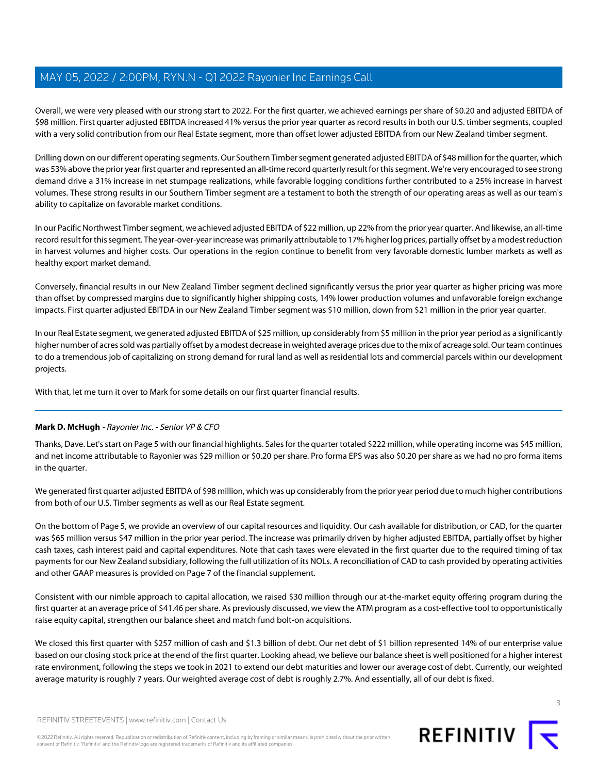Overall, we were very pleased with our strong start to 2022. For the first quarter, we achieved earnings per share of \$0.20 and adjusted EBITDA of \$98 million. First quarter adjusted EBITDA increased 41% versus the prior year quarter as record results in both our U.S. timber segments, coupled with a very solid contribution from our Real Estate segment, more than offset lower adjusted EBITDA from our New Zealand timber segment.

Drilling down on our different operating segments. Our Southern Timber segment generated adjusted EBITDA of \$48 million for the quarter, which was 53% above the prior year first quarter and represented an all-time record quarterly result for this segment. We're very encouraged to see strong demand drive a 31% increase in net stumpage realizations, while favorable logging conditions further contributed to a 25% increase in harvest volumes. These strong results in our Southern Timber segment are a testament to both the strength of our operating areas as well as our team's ability to capitalize on favorable market conditions.

In our Pacific Northwest Timber segment, we achieved adjusted EBITDA of \$22 million, up 22% from the prior year quarter. And likewise, an all-time record result for this segment. The year-over-year increase was primarily attributable to 17% higher log prices, partially offset by a modest reduction in harvest volumes and higher costs. Our operations in the region continue to benefit from very favorable domestic lumber markets as well as healthy export market demand.

Conversely, financial results in our New Zealand Timber segment declined significantly versus the prior year quarter as higher pricing was more than offset by compressed margins due to significantly higher shipping costs, 14% lower production volumes and unfavorable foreign exchange impacts. First quarter adjusted EBITDA in our New Zealand Timber segment was \$10 million, down from \$21 million in the prior year quarter.

In our Real Estate segment, we generated adjusted EBITDA of \$25 million, up considerably from \$5 million in the prior year period as a significantly higher number of acres sold was partially offset by a modest decrease in weighted average prices due to the mix of acreage sold. Our team continues to do a tremendous job of capitalizing on strong demand for rural land as well as residential lots and commercial parcels within our development projects.

<span id="page-2-0"></span>With that, let me turn it over to Mark for some details on our first quarter financial results.

### **Mark D. McHugh** - Rayonier Inc. - Senior VP & CFO

Thanks, Dave. Let's start on Page 5 with our financial highlights. Sales for the quarter totaled \$222 million, while operating income was \$45 million, and net income attributable to Rayonier was \$29 million or \$0.20 per share. Pro forma EPS was also \$0.20 per share as we had no pro forma items in the quarter.

We generated first quarter adjusted EBITDA of \$98 million, which was up considerably from the prior year period due to much higher contributions from both of our U.S. Timber segments as well as our Real Estate segment.

On the bottom of Page 5, we provide an overview of our capital resources and liquidity. Our cash available for distribution, or CAD, for the quarter was \$65 million versus \$47 million in the prior year period. The increase was primarily driven by higher adjusted EBITDA, partially offset by higher cash taxes, cash interest paid and capital expenditures. Note that cash taxes were elevated in the first quarter due to the required timing of tax payments for our New Zealand subsidiary, following the full utilization of its NOLs. A reconciliation of CAD to cash provided by operating activities and other GAAP measures is provided on Page 7 of the financial supplement.

Consistent with our nimble approach to capital allocation, we raised \$30 million through our at-the-market equity offering program during the first quarter at an average price of \$41.46 per share. As previously discussed, we view the ATM program as a cost-effective tool to opportunistically raise equity capital, strengthen our balance sheet and match fund bolt-on acquisitions.

We closed this first quarter with \$257 million of cash and \$1.3 billion of debt. Our net debt of \$1 billion represented 14% of our enterprise value based on our closing stock price at the end of the first quarter. Looking ahead, we believe our balance sheet is well positioned for a higher interest rate environment, following the steps we took in 2021 to extend our debt maturities and lower our average cost of debt. Currently, our weighted average maturity is roughly 7 years. Our weighted average cost of debt is roughly 2.7%. And essentially, all of our debt is fixed.



REFINITIV STREETEVENTS | [www.refinitiv.com](https://www.refinitiv.com/) | [Contact Us](https://www.refinitiv.com/en/contact-us)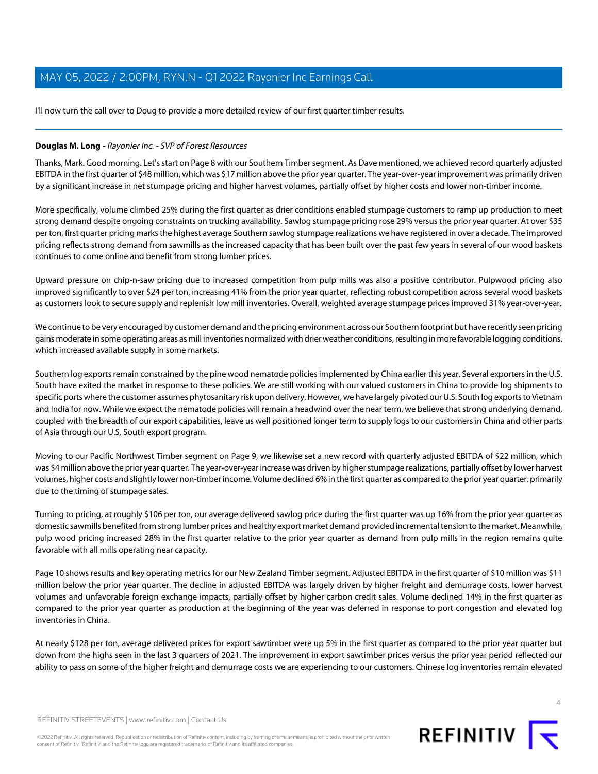I'll now turn the call over to Doug to provide a more detailed review of our first quarter timber results.

### <span id="page-3-0"></span>**Douglas M. Long** - Rayonier Inc. - SVP of Forest Resources

Thanks, Mark. Good morning. Let's start on Page 8 with our Southern Timber segment. As Dave mentioned, we achieved record quarterly adjusted EBITDA in the first quarter of \$48 million, which was \$17 million above the prior year quarter. The year-over-year improvement was primarily driven by a significant increase in net stumpage pricing and higher harvest volumes, partially offset by higher costs and lower non-timber income.

More specifically, volume climbed 25% during the first quarter as drier conditions enabled stumpage customers to ramp up production to meet strong demand despite ongoing constraints on trucking availability. Sawlog stumpage pricing rose 29% versus the prior year quarter. At over \$35 per ton, first quarter pricing marks the highest average Southern sawlog stumpage realizations we have registered in over a decade. The improved pricing reflects strong demand from sawmills as the increased capacity that has been built over the past few years in several of our wood baskets continues to come online and benefit from strong lumber prices.

Upward pressure on chip-n-saw pricing due to increased competition from pulp mills was also a positive contributor. Pulpwood pricing also improved significantly to over \$24 per ton, increasing 41% from the prior year quarter, reflecting robust competition across several wood baskets as customers look to secure supply and replenish low mill inventories. Overall, weighted average stumpage prices improved 31% year-over-year.

We continue to be very encouraged by customer demand and the pricing environment across our Southern footprint but have recently seen pricing gains moderate in some operating areas as mill inventories normalized with drier weather conditions, resulting in more favorable logging conditions, which increased available supply in some markets.

Southern log exports remain constrained by the pine wood nematode policies implemented by China earlier this year. Several exporters in the U.S. South have exited the market in response to these policies. We are still working with our valued customers in China to provide log shipments to specific ports where the customer assumes phytosanitary risk upon delivery. However, we have largely pivoted our U.S. South log exports to Vietnam and India for now. While we expect the nematode policies will remain a headwind over the near term, we believe that strong underlying demand, coupled with the breadth of our export capabilities, leave us well positioned longer term to supply logs to our customers in China and other parts of Asia through our U.S. South export program.

Moving to our Pacific Northwest Timber segment on Page 9, we likewise set a new record with quarterly adjusted EBITDA of \$22 million, which was \$4 million above the prior year quarter. The year-over-year increase was driven by higher stumpage realizations, partially offset by lower harvest volumes, higher costs and slightly lower non-timber income. Volume declined 6% in the first quarter as compared to the prior year quarter. primarily due to the timing of stumpage sales.

Turning to pricing, at roughly \$106 per ton, our average delivered sawlog price during the first quarter was up 16% from the prior year quarter as domestic sawmills benefited from strong lumber prices and healthy export market demand provided incremental tension to the market. Meanwhile, pulp wood pricing increased 28% in the first quarter relative to the prior year quarter as demand from pulp mills in the region remains quite favorable with all mills operating near capacity.

Page 10 shows results and key operating metrics for our New Zealand Timber segment. Adjusted EBITDA in the first quarter of \$10 million was \$11 million below the prior year quarter. The decline in adjusted EBITDA was largely driven by higher freight and demurrage costs, lower harvest volumes and unfavorable foreign exchange impacts, partially offset by higher carbon credit sales. Volume declined 14% in the first quarter as compared to the prior year quarter as production at the beginning of the year was deferred in response to port congestion and elevated log inventories in China.

At nearly \$128 per ton, average delivered prices for export sawtimber were up 5% in the first quarter as compared to the prior year quarter but down from the highs seen in the last 3 quarters of 2021. The improvement in export sawtimber prices versus the prior year period reflected our ability to pass on some of the higher freight and demurrage costs we are experiencing to our customers. Chinese log inventories remain elevated

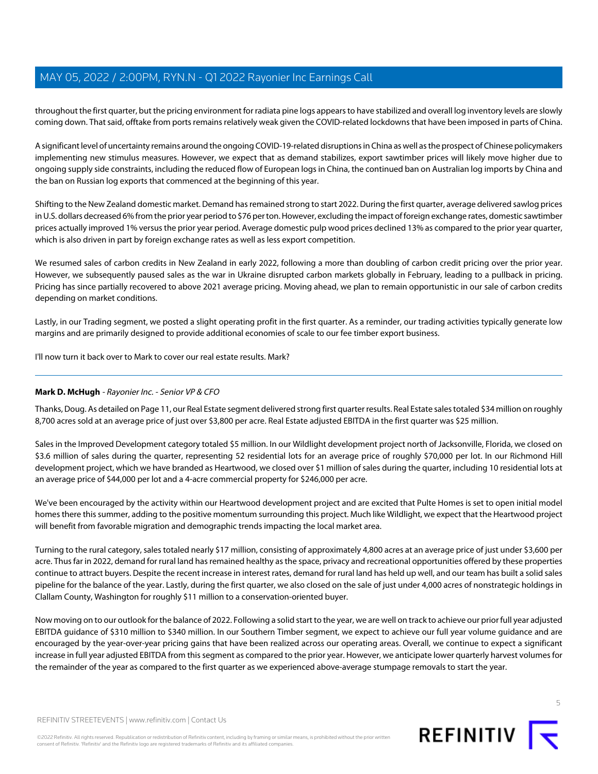throughout the first quarter, but the pricing environment for radiata pine logs appears to have stabilized and overall log inventory levels are slowly coming down. That said, offtake from ports remains relatively weak given the COVID-related lockdowns that have been imposed in parts of China.

A significant level of uncertainty remains around the ongoing COVID-19-related disruptions in China as well as the prospect of Chinese policymakers implementing new stimulus measures. However, we expect that as demand stabilizes, export sawtimber prices will likely move higher due to ongoing supply side constraints, including the reduced flow of European logs in China, the continued ban on Australian log imports by China and the ban on Russian log exports that commenced at the beginning of this year.

Shifting to the New Zealand domestic market. Demand has remained strong to start 2022. During the first quarter, average delivered sawlog prices in U.S. dollars decreased 6% from the prior year period to \$76 per ton. However, excluding the impact of foreign exchange rates, domestic sawtimber prices actually improved 1% versus the prior year period. Average domestic pulp wood prices declined 13% as compared to the prior year quarter, which is also driven in part by foreign exchange rates as well as less export competition.

We resumed sales of carbon credits in New Zealand in early 2022, following a more than doubling of carbon credit pricing over the prior year. However, we subsequently paused sales as the war in Ukraine disrupted carbon markets globally in February, leading to a pullback in pricing. Pricing has since partially recovered to above 2021 average pricing. Moving ahead, we plan to remain opportunistic in our sale of carbon credits depending on market conditions.

Lastly, in our Trading segment, we posted a slight operating profit in the first quarter. As a reminder, our trading activities typically generate low margins and are primarily designed to provide additional economies of scale to our fee timber export business.

I'll now turn it back over to Mark to cover our real estate results. Mark?

### **Mark D. McHugh** - Rayonier Inc. - Senior VP & CFO

Thanks, Doug. As detailed on Page 11, our Real Estate segment delivered strong first quarter results. Real Estate sales totaled \$34 million on roughly 8,700 acres sold at an average price of just over \$3,800 per acre. Real Estate adjusted EBITDA in the first quarter was \$25 million.

Sales in the Improved Development category totaled \$5 million. In our Wildlight development project north of Jacksonville, Florida, we closed on \$3.6 million of sales during the quarter, representing 52 residential lots for an average price of roughly \$70,000 per lot. In our Richmond Hill development project, which we have branded as Heartwood, we closed over \$1 million of sales during the quarter, including 10 residential lots at an average price of \$44,000 per lot and a 4-acre commercial property for \$246,000 per acre.

We've been encouraged by the activity within our Heartwood development project and are excited that Pulte Homes is set to open initial model homes there this summer, adding to the positive momentum surrounding this project. Much like Wildlight, we expect that the Heartwood project will benefit from favorable migration and demographic trends impacting the local market area.

Turning to the rural category, sales totaled nearly \$17 million, consisting of approximately 4,800 acres at an average price of just under \$3,600 per acre. Thus far in 2022, demand for rural land has remained healthy as the space, privacy and recreational opportunities offered by these properties continue to attract buyers. Despite the recent increase in interest rates, demand for rural land has held up well, and our team has built a solid sales pipeline for the balance of the year. Lastly, during the first quarter, we also closed on the sale of just under 4,000 acres of nonstrategic holdings in Clallam County, Washington for roughly \$11 million to a conservation-oriented buyer.

Now moving on to our outlook for the balance of 2022. Following a solid start to the year, we are well on track to achieve our prior full year adjusted EBITDA guidance of \$310 million to \$340 million. In our Southern Timber segment, we expect to achieve our full year volume guidance and are encouraged by the year-over-year pricing gains that have been realized across our operating areas. Overall, we continue to expect a significant increase in full year adjusted EBITDA from this segment as compared to the prior year. However, we anticipate lower quarterly harvest volumes for the remainder of the year as compared to the first quarter as we experienced above-average stumpage removals to start the year.

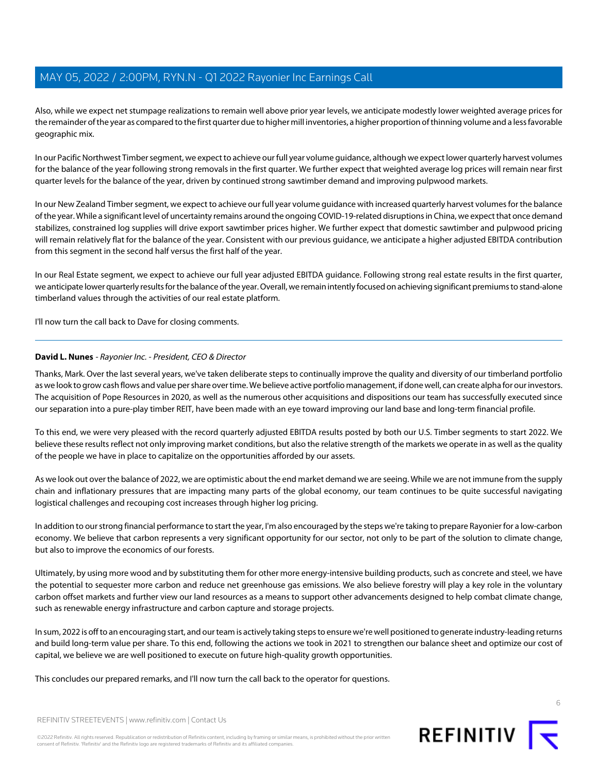Also, while we expect net stumpage realizations to remain well above prior year levels, we anticipate modestly lower weighted average prices for the remainder of the year as compared to the first quarter due to higher mill inventories, a higher proportion of thinning volume and a less favorable geographic mix.

In our Pacific Northwest Timber segment, we expect to achieve our full year volume guidance, although we expect lower quarterly harvest volumes for the balance of the year following strong removals in the first quarter. We further expect that weighted average log prices will remain near first quarter levels for the balance of the year, driven by continued strong sawtimber demand and improving pulpwood markets.

In our New Zealand Timber segment, we expect to achieve our full year volume guidance with increased quarterly harvest volumes for the balance of the year. While a significant level of uncertainty remains around the ongoing COVID-19-related disruptions in China, we expect that once demand stabilizes, constrained log supplies will drive export sawtimber prices higher. We further expect that domestic sawtimber and pulpwood pricing will remain relatively flat for the balance of the year. Consistent with our previous guidance, we anticipate a higher adjusted EBITDA contribution from this segment in the second half versus the first half of the year.

In our Real Estate segment, we expect to achieve our full year adjusted EBITDA guidance. Following strong real estate results in the first quarter, we anticipate lower quarterly results for the balance of the year. Overall, we remain intently focused on achieving significant premiums to stand-alone timberland values through the activities of our real estate platform.

I'll now turn the call back to Dave for closing comments.

### **David L. Nunes** - Rayonier Inc. - President, CEO & Director

Thanks, Mark. Over the last several years, we've taken deliberate steps to continually improve the quality and diversity of our timberland portfolio as we look to grow cash flows and value per share over time. We believe active portfolio management, if done well, can create alpha for our investors. The acquisition of Pope Resources in 2020, as well as the numerous other acquisitions and dispositions our team has successfully executed since our separation into a pure-play timber REIT, have been made with an eye toward improving our land base and long-term financial profile.

To this end, we were very pleased with the record quarterly adjusted EBITDA results posted by both our U.S. Timber segments to start 2022. We believe these results reflect not only improving market conditions, but also the relative strength of the markets we operate in as well as the quality of the people we have in place to capitalize on the opportunities afforded by our assets.

As we look out over the balance of 2022, we are optimistic about the end market demand we are seeing. While we are not immune from the supply chain and inflationary pressures that are impacting many parts of the global economy, our team continues to be quite successful navigating logistical challenges and recouping cost increases through higher log pricing.

In addition to our strong financial performance to start the year, I'm also encouraged by the steps we're taking to prepare Rayonier for a low-carbon economy. We believe that carbon represents a very significant opportunity for our sector, not only to be part of the solution to climate change, but also to improve the economics of our forests.

Ultimately, by using more wood and by substituting them for other more energy-intensive building products, such as concrete and steel, we have the potential to sequester more carbon and reduce net greenhouse gas emissions. We also believe forestry will play a key role in the voluntary carbon offset markets and further view our land resources as a means to support other advancements designed to help combat climate change, such as renewable energy infrastructure and carbon capture and storage projects.

In sum, 2022 is off to an encouraging start, and our team is actively taking steps to ensure we're well positioned to generate industry-leading returns and build long-term value per share. To this end, following the actions we took in 2021 to strengthen our balance sheet and optimize our cost of capital, we believe we are well positioned to execute on future high-quality growth opportunities.

This concludes our prepared remarks, and I'll now turn the call back to the operator for questions.



REFINITIV STREETEVENTS | [www.refinitiv.com](https://www.refinitiv.com/) | [Contact Us](https://www.refinitiv.com/en/contact-us)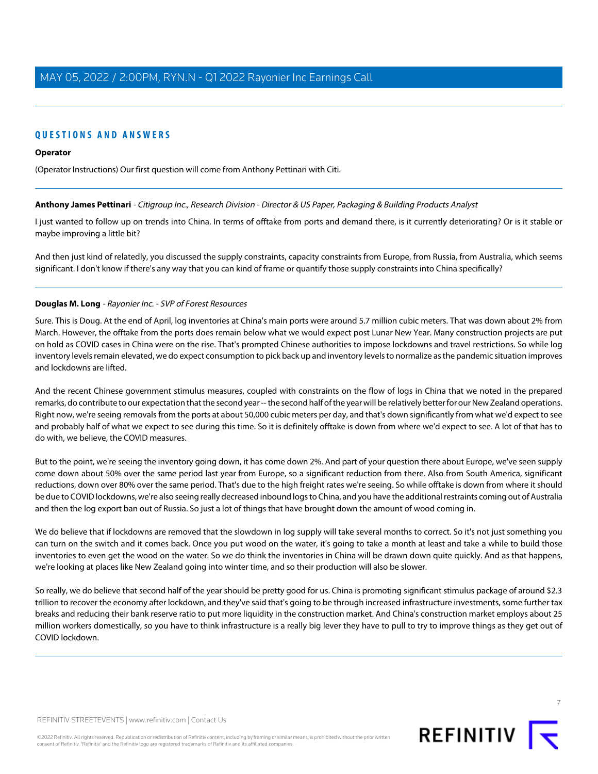### **QUESTIONS AND ANSWERS**

#### **Operator**

<span id="page-6-0"></span>(Operator Instructions) Our first question will come from Anthony Pettinari with Citi.

### **Anthony James Pettinari** - Citigroup Inc., Research Division - Director & US Paper, Packaging & Building Products Analyst

I just wanted to follow up on trends into China. In terms of offtake from ports and demand there, is it currently deteriorating? Or is it stable or maybe improving a little bit?

And then just kind of relatedly, you discussed the supply constraints, capacity constraints from Europe, from Russia, from Australia, which seems significant. I don't know if there's any way that you can kind of frame or quantify those supply constraints into China specifically?

### **Douglas M. Long** - Rayonier Inc. - SVP of Forest Resources

Sure. This is Doug. At the end of April, log inventories at China's main ports were around 5.7 million cubic meters. That was down about 2% from March. However, the offtake from the ports does remain below what we would expect post Lunar New Year. Many construction projects are put on hold as COVID cases in China were on the rise. That's prompted Chinese authorities to impose lockdowns and travel restrictions. So while log inventory levels remain elevated, we do expect consumption to pick back up and inventory levels to normalize as the pandemic situation improves and lockdowns are lifted.

And the recent Chinese government stimulus measures, coupled with constraints on the flow of logs in China that we noted in the prepared remarks, do contribute to our expectation that the second year -- the second half of the year will be relatively better for our New Zealand operations. Right now, we're seeing removals from the ports at about 50,000 cubic meters per day, and that's down significantly from what we'd expect to see and probably half of what we expect to see during this time. So it is definitely offtake is down from where we'd expect to see. A lot of that has to do with, we believe, the COVID measures.

But to the point, we're seeing the inventory going down, it has come down 2%. And part of your question there about Europe, we've seen supply come down about 50% over the same period last year from Europe, so a significant reduction from there. Also from South America, significant reductions, down over 80% over the same period. That's due to the high freight rates we're seeing. So while offtake is down from where it should be due to COVID lockdowns, we're also seeing really decreased inbound logs to China, and you have the additional restraints coming out of Australia and then the log export ban out of Russia. So just a lot of things that have brought down the amount of wood coming in.

We do believe that if lockdowns are removed that the slowdown in log supply will take several months to correct. So it's not just something you can turn on the switch and it comes back. Once you put wood on the water, it's going to take a month at least and take a while to build those inventories to even get the wood on the water. So we do think the inventories in China will be drawn down quite quickly. And as that happens, we're looking at places like New Zealand going into winter time, and so their production will also be slower.

So really, we do believe that second half of the year should be pretty good for us. China is promoting significant stimulus package of around \$2.3 trillion to recover the economy after lockdown, and they've said that's going to be through increased infrastructure investments, some further tax breaks and reducing their bank reserve ratio to put more liquidity in the construction market. And China's construction market employs about 25 million workers domestically, so you have to think infrastructure is a really big lever they have to pull to try to improve things as they get out of COVID lockdown.

REFINITIV STREETEVENTS | [www.refinitiv.com](https://www.refinitiv.com/) | [Contact Us](https://www.refinitiv.com/en/contact-us)

©2022 Refinitiv. All rights reserved. Republication or redistribution of Refinitiv content, including by framing or similar means, is prohibited without the prior written consent of Refinitiv. 'Refinitiv' and the Refinitiv logo are registered trademarks of Refinitiv and its affiliated companies.



7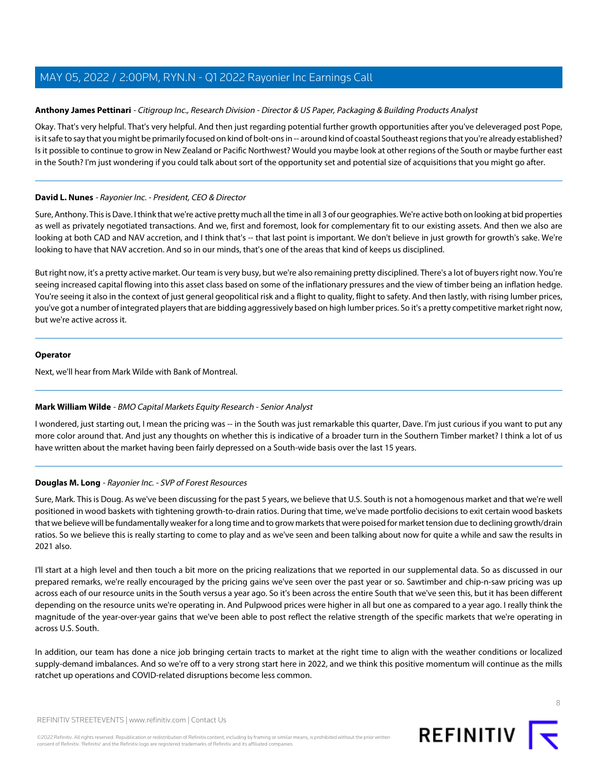### **Anthony James Pettinari** - Citigroup Inc., Research Division - Director & US Paper, Packaging & Building Products Analyst

Okay. That's very helpful. That's very helpful. And then just regarding potential further growth opportunities after you've deleveraged post Pope, is it safe to say that you might be primarily focused on kind of bolt-ons in -- around kind of coastal Southeast regions that you're already established? Is it possible to continue to grow in New Zealand or Pacific Northwest? Would you maybe look at other regions of the South or maybe further east in the South? I'm just wondering if you could talk about sort of the opportunity set and potential size of acquisitions that you might go after.

### **David L. Nunes** - Rayonier Inc. - President, CEO & Director

Sure, Anthony. This is Dave. I think that we're active pretty much all the time in all 3 of our geographies. We're active both on looking at bid properties as well as privately negotiated transactions. And we, first and foremost, look for complementary fit to our existing assets. And then we also are looking at both CAD and NAV accretion, and I think that's -- that last point is important. We don't believe in just growth for growth's sake. We're looking to have that NAV accretion. And so in our minds, that's one of the areas that kind of keeps us disciplined.

But right now, it's a pretty active market. Our team is very busy, but we're also remaining pretty disciplined. There's a lot of buyers right now. You're seeing increased capital flowing into this asset class based on some of the inflationary pressures and the view of timber being an inflation hedge. You're seeing it also in the context of just general geopolitical risk and a flight to quality, flight to safety. And then lastly, with rising lumber prices, you've got a number of integrated players that are bidding aggressively based on high lumber prices. So it's a pretty competitive market right now, but we're active across it.

### **Operator**

<span id="page-7-0"></span>Next, we'll hear from Mark Wilde with Bank of Montreal.

### **Mark William Wilde** - BMO Capital Markets Equity Research - Senior Analyst

I wondered, just starting out, I mean the pricing was -- in the South was just remarkable this quarter, Dave. I'm just curious if you want to put any more color around that. And just any thoughts on whether this is indicative of a broader turn in the Southern Timber market? I think a lot of us have written about the market having been fairly depressed on a South-wide basis over the last 15 years.

### **Douglas M. Long** - Rayonier Inc. - SVP of Forest Resources

Sure, Mark. This is Doug. As we've been discussing for the past 5 years, we believe that U.S. South is not a homogenous market and that we're well positioned in wood baskets with tightening growth-to-drain ratios. During that time, we've made portfolio decisions to exit certain wood baskets that we believe will be fundamentally weaker for a long time and to grow markets that were poised for market tension due to declining growth/drain ratios. So we believe this is really starting to come to play and as we've seen and been talking about now for quite a while and saw the results in 2021 also.

I'll start at a high level and then touch a bit more on the pricing realizations that we reported in our supplemental data. So as discussed in our prepared remarks, we're really encouraged by the pricing gains we've seen over the past year or so. Sawtimber and chip-n-saw pricing was up across each of our resource units in the South versus a year ago. So it's been across the entire South that we've seen this, but it has been different depending on the resource units we're operating in. And Pulpwood prices were higher in all but one as compared to a year ago. I really think the magnitude of the year-over-year gains that we've been able to post reflect the relative strength of the specific markets that we're operating in across U.S. South.

In addition, our team has done a nice job bringing certain tracts to market at the right time to align with the weather conditions or localized supply-demand imbalances. And so we're off to a very strong start here in 2022, and we think this positive momentum will continue as the mills ratchet up operations and COVID-related disruptions become less common.

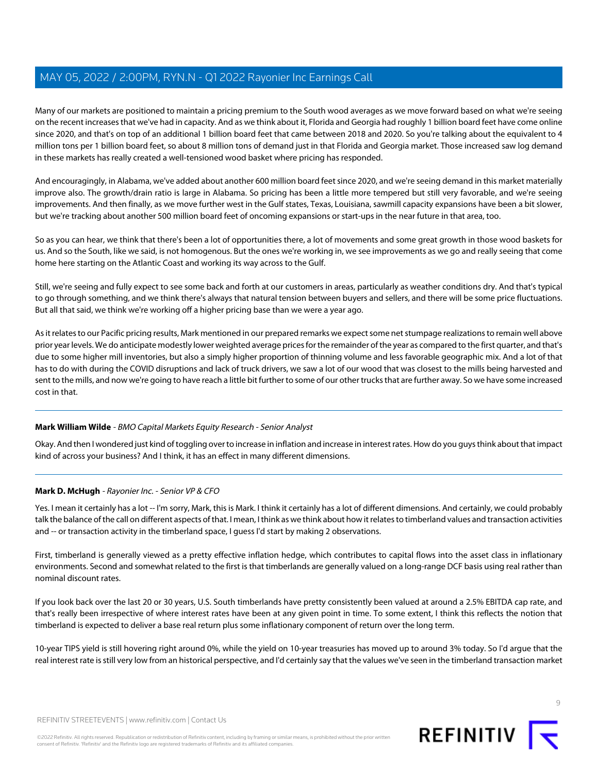Many of our markets are positioned to maintain a pricing premium to the South wood averages as we move forward based on what we're seeing on the recent increases that we've had in capacity. And as we think about it, Florida and Georgia had roughly 1 billion board feet have come online since 2020, and that's on top of an additional 1 billion board feet that came between 2018 and 2020. So you're talking about the equivalent to 4 million tons per 1 billion board feet, so about 8 million tons of demand just in that Florida and Georgia market. Those increased saw log demand in these markets has really created a well-tensioned wood basket where pricing has responded.

And encouragingly, in Alabama, we've added about another 600 million board feet since 2020, and we're seeing demand in this market materially improve also. The growth/drain ratio is large in Alabama. So pricing has been a little more tempered but still very favorable, and we're seeing improvements. And then finally, as we move further west in the Gulf states, Texas, Louisiana, sawmill capacity expansions have been a bit slower, but we're tracking about another 500 million board feet of oncoming expansions or start-ups in the near future in that area, too.

So as you can hear, we think that there's been a lot of opportunities there, a lot of movements and some great growth in those wood baskets for us. And so the South, like we said, is not homogenous. But the ones we're working in, we see improvements as we go and really seeing that come home here starting on the Atlantic Coast and working its way across to the Gulf.

Still, we're seeing and fully expect to see some back and forth at our customers in areas, particularly as weather conditions dry. And that's typical to go through something, and we think there's always that natural tension between buyers and sellers, and there will be some price fluctuations. But all that said, we think we're working off a higher pricing base than we were a year ago.

As it relates to our Pacific pricing results, Mark mentioned in our prepared remarks we expect some net stumpage realizations to remain well above prior year levels. We do anticipate modestly lower weighted average prices for the remainder of the year as compared to the first quarter, and that's due to some higher mill inventories, but also a simply higher proportion of thinning volume and less favorable geographic mix. And a lot of that has to do with during the COVID disruptions and lack of truck drivers, we saw a lot of our wood that was closest to the mills being harvested and sent to the mills, and now we're going to have reach a little bit further to some of our other trucks that are further away. So we have some increased cost in that.

### **Mark William Wilde** - BMO Capital Markets Equity Research - Senior Analyst

Okay. And then I wondered just kind of toggling over to increase in inflation and increase in interest rates. How do you guys think about that impact kind of across your business? And I think, it has an effect in many different dimensions.

### **Mark D. McHugh** - Rayonier Inc. - Senior VP & CFO

Yes. I mean it certainly has a lot -- I'm sorry, Mark, this is Mark. I think it certainly has a lot of different dimensions. And certainly, we could probably talk the balance of the call on different aspects of that. I mean, I think as we think about how it relates to timberland values and transaction activities and -- or transaction activity in the timberland space, I guess I'd start by making 2 observations.

First, timberland is generally viewed as a pretty effective inflation hedge, which contributes to capital flows into the asset class in inflationary environments. Second and somewhat related to the first is that timberlands are generally valued on a long-range DCF basis using real rather than nominal discount rates.

If you look back over the last 20 or 30 years, U.S. South timberlands have pretty consistently been valued at around a 2.5% EBITDA cap rate, and that's really been irrespective of where interest rates have been at any given point in time. To some extent, I think this reflects the notion that timberland is expected to deliver a base real return plus some inflationary component of return over the long term.

10-year TIPS yield is still hovering right around 0%, while the yield on 10-year treasuries has moved up to around 3% today. So I'd argue that the real interest rate is still very low from an historical perspective, and I'd certainly say that the values we've seen in the timberland transaction market

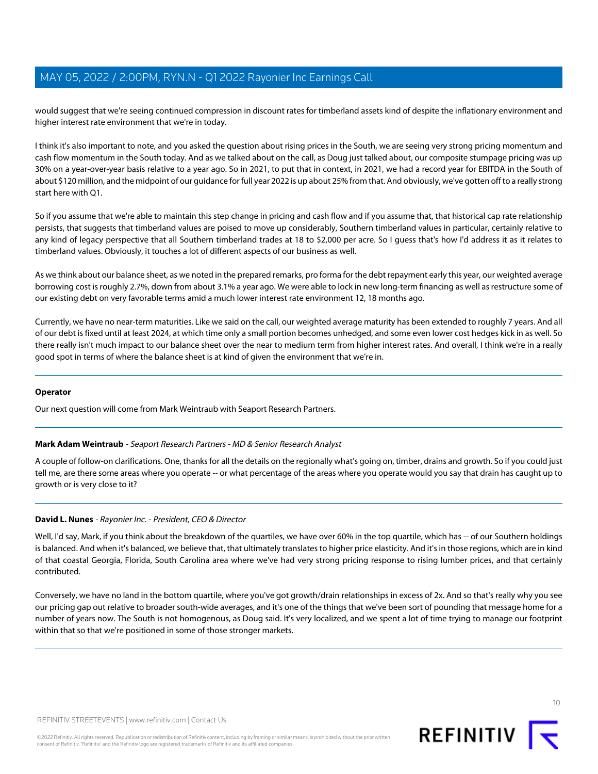would suggest that we're seeing continued compression in discount rates for timberland assets kind of despite the inflationary environment and higher interest rate environment that we're in today.

I think it's also important to note, and you asked the question about rising prices in the South, we are seeing very strong pricing momentum and cash flow momentum in the South today. And as we talked about on the call, as Doug just talked about, our composite stumpage pricing was up 30% on a year-over-year basis relative to a year ago. So in 2021, to put that in context, in 2021, we had a record year for EBITDA in the South of about \$120 million, and the midpoint of our guidance for full year 2022 is up about 25% from that. And obviously, we've gotten off to a really strong start here with Q1.

So if you assume that we're able to maintain this step change in pricing and cash flow and if you assume that, that historical cap rate relationship persists, that suggests that timberland values are poised to move up considerably, Southern timberland values in particular, certainly relative to any kind of legacy perspective that all Southern timberland trades at 18 to \$2,000 per acre. So I guess that's how I'd address it as it relates to timberland values. Obviously, it touches a lot of different aspects of our business as well.

As we think about our balance sheet, as we noted in the prepared remarks, pro forma for the debt repayment early this year, our weighted average borrowing cost is roughly 2.7%, down from about 3.1% a year ago. We were able to lock in new long-term financing as well as restructure some of our existing debt on very favorable terms amid a much lower interest rate environment 12, 18 months ago.

Currently, we have no near-term maturities. Like we said on the call, our weighted average maturity has been extended to roughly 7 years. And all of our debt is fixed until at least 2024, at which time only a small portion becomes unhedged, and some even lower cost hedges kick in as well. So there really isn't much impact to our balance sheet over the near to medium term from higher interest rates. And overall, I think we're in a really good spot in terms of where the balance sheet is at kind of given the environment that we're in.

### <span id="page-9-0"></span>**Operator**

Our next question will come from Mark Weintraub with Seaport Research Partners.

### **Mark Adam Weintraub** - Seaport Research Partners - MD & Senior Research Analyst

A couple of follow-on clarifications. One, thanks for all the details on the regionally what's going on, timber, drains and growth. So if you could just tell me, are there some areas where you operate -- or what percentage of the areas where you operate would you say that drain has caught up to growth or is very close to it?

### **David L. Nunes** - Rayonier Inc. - President, CEO & Director

Well, I'd say, Mark, if you think about the breakdown of the quartiles, we have over 60% in the top quartile, which has -- of our Southern holdings is balanced. And when it's balanced, we believe that, that ultimately translates to higher price elasticity. And it's in those regions, which are in kind of that coastal Georgia, Florida, South Carolina area where we've had very strong pricing response to rising lumber prices, and that certainly contributed.

Conversely, we have no land in the bottom quartile, where you've got growth/drain relationships in excess of 2x. And so that's really why you see our pricing gap out relative to broader south-wide averages, and it's one of the things that we've been sort of pounding that message home for a number of years now. The South is not homogenous, as Doug said. It's very localized, and we spent a lot of time trying to manage our footprint within that so that we're positioned in some of those stronger markets.

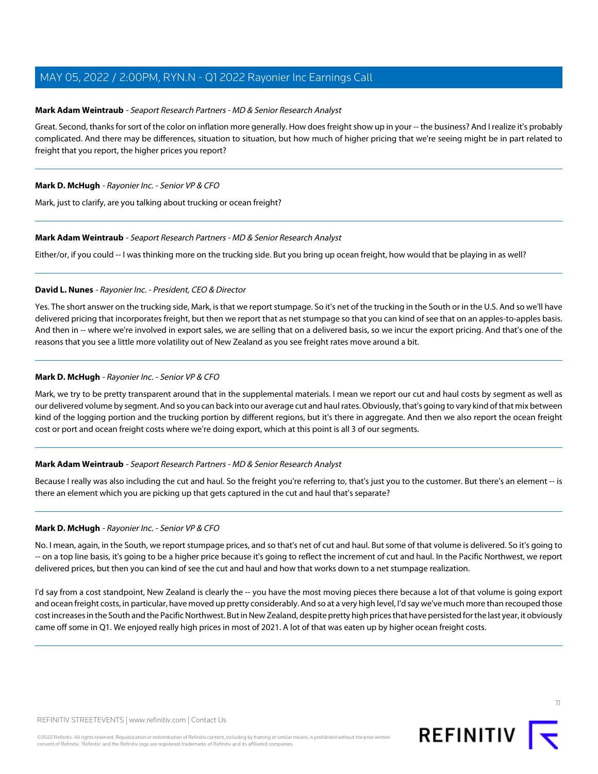### **Mark Adam Weintraub** - Seaport Research Partners - MD & Senior Research Analyst

Great. Second, thanks for sort of the color on inflation more generally. How does freight show up in your -- the business? And I realize it's probably complicated. And there may be differences, situation to situation, but how much of higher pricing that we're seeing might be in part related to freight that you report, the higher prices you report?

### **Mark D. McHugh** - Rayonier Inc. - Senior VP & CFO

Mark, just to clarify, are you talking about trucking or ocean freight?

### **Mark Adam Weintraub** - Seaport Research Partners - MD & Senior Research Analyst

Either/or, if you could -- I was thinking more on the trucking side. But you bring up ocean freight, how would that be playing in as well?

### **David L. Nunes** - Rayonier Inc. - President, CEO & Director

Yes. The short answer on the trucking side, Mark, is that we report stumpage. So it's net of the trucking in the South or in the U.S. And so we'll have delivered pricing that incorporates freight, but then we report that as net stumpage so that you can kind of see that on an apples-to-apples basis. And then in -- where we're involved in export sales, we are selling that on a delivered basis, so we incur the export pricing. And that's one of the reasons that you see a little more volatility out of New Zealand as you see freight rates move around a bit.

### **Mark D. McHugh** - Rayonier Inc. - Senior VP & CFO

Mark, we try to be pretty transparent around that in the supplemental materials. I mean we report our cut and haul costs by segment as well as our delivered volume by segment. And so you can back into our average cut and haul rates. Obviously, that's going to vary kind of that mix between kind of the logging portion and the trucking portion by different regions, but it's there in aggregate. And then we also report the ocean freight cost or port and ocean freight costs where we're doing export, which at this point is all 3 of our segments.

### **Mark Adam Weintraub** - Seaport Research Partners - MD & Senior Research Analyst

Because I really was also including the cut and haul. So the freight you're referring to, that's just you to the customer. But there's an element -- is there an element which you are picking up that gets captured in the cut and haul that's separate?

#### **Mark D. McHugh** - Rayonier Inc. - Senior VP & CFO

No. I mean, again, in the South, we report stumpage prices, and so that's net of cut and haul. But some of that volume is delivered. So it's going to -- on a top line basis, it's going to be a higher price because it's going to reflect the increment of cut and haul. In the Pacific Northwest, we report delivered prices, but then you can kind of see the cut and haul and how that works down to a net stumpage realization.

I'd say from a cost standpoint, New Zealand is clearly the -- you have the most moving pieces there because a lot of that volume is going export and ocean freight costs, in particular, have moved up pretty considerably. And so at a very high level, I'd say we've much more than recouped those cost increases in the South and the Pacific Northwest. But in New Zealand, despite pretty high prices that have persisted for the last year, it obviously came off some in Q1. We enjoyed really high prices in most of 2021. A lot of that was eaten up by higher ocean freight costs.

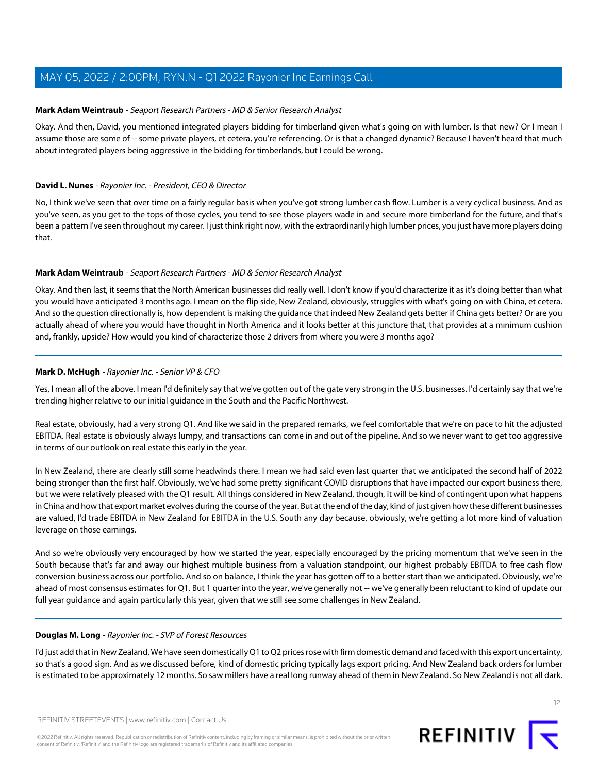### **Mark Adam Weintraub** - Seaport Research Partners - MD & Senior Research Analyst

Okay. And then, David, you mentioned integrated players bidding for timberland given what's going on with lumber. Is that new? Or I mean I assume those are some of -- some private players, et cetera, you're referencing. Or is that a changed dynamic? Because I haven't heard that much about integrated players being aggressive in the bidding for timberlands, but I could be wrong.

### **David L. Nunes** - Rayonier Inc. - President, CEO & Director

No, I think we've seen that over time on a fairly regular basis when you've got strong lumber cash flow. Lumber is a very cyclical business. And as you've seen, as you get to the tops of those cycles, you tend to see those players wade in and secure more timberland for the future, and that's been a pattern I've seen throughout my career. I just think right now, with the extraordinarily high lumber prices, you just have more players doing that.

### **Mark Adam Weintraub** - Seaport Research Partners - MD & Senior Research Analyst

Okay. And then last, it seems that the North American businesses did really well. I don't know if you'd characterize it as it's doing better than what you would have anticipated 3 months ago. I mean on the flip side, New Zealand, obviously, struggles with what's going on with China, et cetera. And so the question directionally is, how dependent is making the guidance that indeed New Zealand gets better if China gets better? Or are you actually ahead of where you would have thought in North America and it looks better at this juncture that, that provides at a minimum cushion and, frankly, upside? How would you kind of characterize those 2 drivers from where you were 3 months ago?

### **Mark D. McHugh** - Rayonier Inc. - Senior VP & CFO

Yes, I mean all of the above. I mean I'd definitely say that we've gotten out of the gate very strong in the U.S. businesses. I'd certainly say that we're trending higher relative to our initial guidance in the South and the Pacific Northwest.

Real estate, obviously, had a very strong Q1. And like we said in the prepared remarks, we feel comfortable that we're on pace to hit the adjusted EBITDA. Real estate is obviously always lumpy, and transactions can come in and out of the pipeline. And so we never want to get too aggressive in terms of our outlook on real estate this early in the year.

In New Zealand, there are clearly still some headwinds there. I mean we had said even last quarter that we anticipated the second half of 2022 being stronger than the first half. Obviously, we've had some pretty significant COVID disruptions that have impacted our export business there, but we were relatively pleased with the Q1 result. All things considered in New Zealand, though, it will be kind of contingent upon what happens in China and how that export market evolves during the course of the year. But at the end of the day, kind of just given how these different businesses are valued, I'd trade EBITDA in New Zealand for EBITDA in the U.S. South any day because, obviously, we're getting a lot more kind of valuation leverage on those earnings.

And so we're obviously very encouraged by how we started the year, especially encouraged by the pricing momentum that we've seen in the South because that's far and away our highest multiple business from a valuation standpoint, our highest probably EBITDA to free cash flow conversion business across our portfolio. And so on balance, I think the year has gotten off to a better start than we anticipated. Obviously, we're ahead of most consensus estimates for Q1. But 1 quarter into the year, we've generally not -- we've generally been reluctant to kind of update our full year guidance and again particularly this year, given that we still see some challenges in New Zealand.

### **Douglas M. Long** - Rayonier Inc. - SVP of Forest Resources

I'd just add that in New Zealand, We have seen domestically Q1 to Q2 prices rose with firm domestic demand and faced with this export uncertainty, so that's a good sign. And as we discussed before, kind of domestic pricing typically lags export pricing. And New Zealand back orders for lumber is estimated to be approximately 12 months. So saw millers have a real long runway ahead of them in New Zealand. So New Zealand is not all dark.

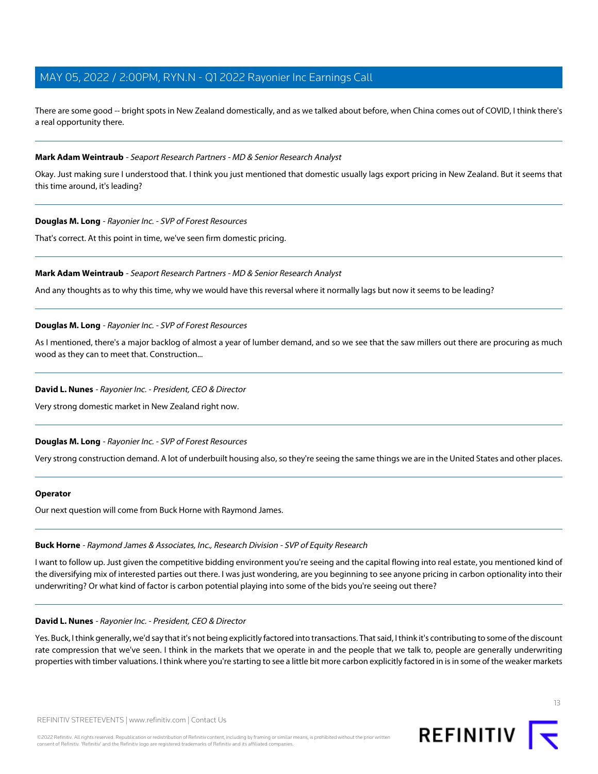There are some good -- bright spots in New Zealand domestically, and as we talked about before, when China comes out of COVID, I think there's a real opportunity there.

### **Mark Adam Weintraub** - Seaport Research Partners - MD & Senior Research Analyst

Okay. Just making sure I understood that. I think you just mentioned that domestic usually lags export pricing in New Zealand. But it seems that this time around, it's leading?

### **Douglas M. Long** - Rayonier Inc. - SVP of Forest Resources

That's correct. At this point in time, we've seen firm domestic pricing.

#### **Mark Adam Weintraub** - Seaport Research Partners - MD & Senior Research Analyst

And any thoughts as to why this time, why we would have this reversal where it normally lags but now it seems to be leading?

### **Douglas M. Long** - Rayonier Inc. - SVP of Forest Resources

As I mentioned, there's a major backlog of almost a year of lumber demand, and so we see that the saw millers out there are procuring as much wood as they can to meet that. Construction...

#### **David L. Nunes** - Rayonier Inc. - President, CEO & Director

Very strong domestic market in New Zealand right now.

### **Douglas M. Long** - Rayonier Inc. - SVP of Forest Resources

Very strong construction demand. A lot of underbuilt housing also, so they're seeing the same things we are in the United States and other places.

#### <span id="page-12-0"></span>**Operator**

Our next question will come from Buck Horne with Raymond James.

#### **Buck Horne** - Raymond James & Associates, Inc., Research Division - SVP of Equity Research

I want to follow up. Just given the competitive bidding environment you're seeing and the capital flowing into real estate, you mentioned kind of the diversifying mix of interested parties out there. I was just wondering, are you beginning to see anyone pricing in carbon optionality into their underwriting? Or what kind of factor is carbon potential playing into some of the bids you're seeing out there?

#### **David L. Nunes** - Rayonier Inc. - President, CEO & Director

Yes. Buck, I think generally, we'd say that it's not being explicitly factored into transactions. That said, I think it's contributing to some of the discount rate compression that we've seen. I think in the markets that we operate in and the people that we talk to, people are generally underwriting properties with timber valuations. I think where you're starting to see a little bit more carbon explicitly factored in is in some of the weaker markets



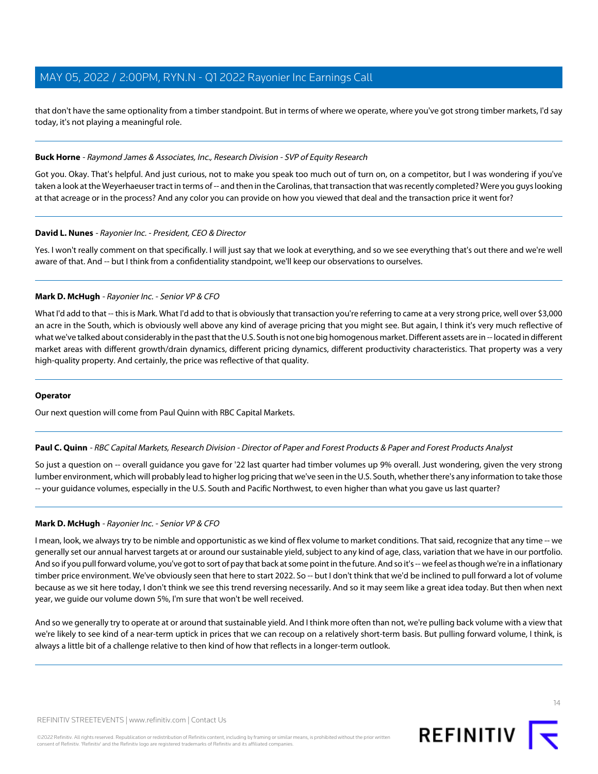that don't have the same optionality from a timber standpoint. But in terms of where we operate, where you've got strong timber markets, I'd say today, it's not playing a meaningful role.

### **Buck Horne** - Raymond James & Associates, Inc., Research Division - SVP of Equity Research

Got you. Okay. That's helpful. And just curious, not to make you speak too much out of turn on, on a competitor, but I was wondering if you've taken a look at the Weyerhaeuser tract in terms of -- and then in the Carolinas, that transaction that was recently completed? Were you quys looking at that acreage or in the process? And any color you can provide on how you viewed that deal and the transaction price it went for?

### **David L. Nunes** - Rayonier Inc. - President, CEO & Director

Yes. I won't really comment on that specifically. I will just say that we look at everything, and so we see everything that's out there and we're well aware of that. And -- but I think from a confidentiality standpoint, we'll keep our observations to ourselves.

### **Mark D. McHugh** - Rayonier Inc. - Senior VP & CFO

What I'd add to that -- this is Mark. What I'd add to that is obviously that transaction you're referring to came at a very strong price, well over \$3,000 an acre in the South, which is obviously well above any kind of average pricing that you might see. But again, I think it's very much reflective of what we've talked about considerably in the past that the U.S. South is not one big homogenous market. Different assets are in -- located in different market areas with different growth/drain dynamics, different pricing dynamics, different productivity characteristics. That property was a very high-quality property. And certainly, the price was reflective of that quality.

### <span id="page-13-0"></span>**Operator**

Our next question will come from Paul Quinn with RBC Capital Markets.

### **Paul C. Quinn** - RBC Capital Markets, Research Division - Director of Paper and Forest Products & Paper and Forest Products Analyst

So just a question on -- overall guidance you gave for '22 last quarter had timber volumes up 9% overall. Just wondering, given the very strong lumber environment, which will probably lead to higher log pricing that we've seen in the U.S. South, whether there's any information to take those -- your guidance volumes, especially in the U.S. South and Pacific Northwest, to even higher than what you gave us last quarter?

### **Mark D. McHugh** - Rayonier Inc. - Senior VP & CFO

I mean, look, we always try to be nimble and opportunistic as we kind of flex volume to market conditions. That said, recognize that any time -- we generally set our annual harvest targets at or around our sustainable yield, subject to any kind of age, class, variation that we have in our portfolio. And so if you pull forward volume, you've got to sort of pay that back at some point in the future. And so it's -- we feel as though we're in a inflationary timber price environment. We've obviously seen that here to start 2022. So -- but I don't think that we'd be inclined to pull forward a lot of volume because as we sit here today, I don't think we see this trend reversing necessarily. And so it may seem like a great idea today. But then when next year, we guide our volume down 5%, I'm sure that won't be well received.

And so we generally try to operate at or around that sustainable yield. And I think more often than not, we're pulling back volume with a view that we're likely to see kind of a near-term uptick in prices that we can recoup on a relatively short-term basis. But pulling forward volume, I think, is always a little bit of a challenge relative to then kind of how that reflects in a longer-term outlook.

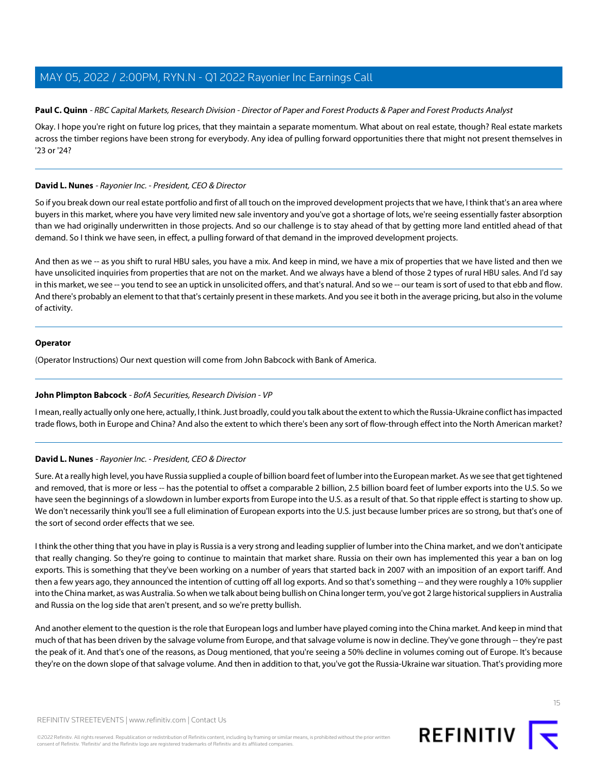### Paul C. Quinn - RBC Capital Markets, Research Division - Director of Paper and Forest Products & Paper and Forest Products Analyst

Okay. I hope you're right on future log prices, that they maintain a separate momentum. What about on real estate, though? Real estate markets across the timber regions have been strong for everybody. Any idea of pulling forward opportunities there that might not present themselves in '23 or '24?

### **David L. Nunes** - Rayonier Inc. - President, CEO & Director

So if you break down our real estate portfolio and first of all touch on the improved development projects that we have, I think that's an area where buyers in this market, where you have very limited new sale inventory and you've got a shortage of lots, we're seeing essentially faster absorption than we had originally underwritten in those projects. And so our challenge is to stay ahead of that by getting more land entitled ahead of that demand. So I think we have seen, in effect, a pulling forward of that demand in the improved development projects.

And then as we -- as you shift to rural HBU sales, you have a mix. And keep in mind, we have a mix of properties that we have listed and then we have unsolicited inquiries from properties that are not on the market. And we always have a blend of those 2 types of rural HBU sales. And I'd say in this market, we see -- you tend to see an uptick in unsolicited offers, and that's natural. And so we -- our team is sort of used to that ebb and flow. And there's probably an element to that that's certainly present in these markets. And you see it both in the average pricing, but also in the volume of activity.

### **Operator**

<span id="page-14-0"></span>(Operator Instructions) Our next question will come from John Babcock with Bank of America.

### **John Plimpton Babcock** - BofA Securities, Research Division - VP

I mean, really actually only one here, actually, I think. Just broadly, could you talk about the extent to which the Russia-Ukraine conflict has impacted trade flows, both in Europe and China? And also the extent to which there's been any sort of flow-through effect into the North American market?

### **David L. Nunes** - Rayonier Inc. - President, CEO & Director

Sure. At a really high level, you have Russia supplied a couple of billion board feet of lumber into the European market. As we see that get tightened and removed, that is more or less -- has the potential to offset a comparable 2 billion, 2.5 billion board feet of lumber exports into the U.S. So we have seen the beginnings of a slowdown in lumber exports from Europe into the U.S. as a result of that. So that ripple effect is starting to show up. We don't necessarily think you'll see a full elimination of European exports into the U.S. just because lumber prices are so strong, but that's one of the sort of second order effects that we see.

I think the other thing that you have in play is Russia is a very strong and leading supplier of lumber into the China market, and we don't anticipate that really changing. So they're going to continue to maintain that market share. Russia on their own has implemented this year a ban on log exports. This is something that they've been working on a number of years that started back in 2007 with an imposition of an export tariff. And then a few years ago, they announced the intention of cutting off all log exports. And so that's something -- and they were roughly a 10% supplier into the China market, as was Australia. So when we talk about being bullish on China longer term, you've got 2 large historical suppliers in Australia and Russia on the log side that aren't present, and so we're pretty bullish.

And another element to the question is the role that European logs and lumber have played coming into the China market. And keep in mind that much of that has been driven by the salvage volume from Europe, and that salvage volume is now in decline. They've gone through -- they're past the peak of it. And that's one of the reasons, as Doug mentioned, that you're seeing a 50% decline in volumes coming out of Europe. It's because they're on the down slope of that salvage volume. And then in addition to that, you've got the Russia-Ukraine war situation. That's providing more



15